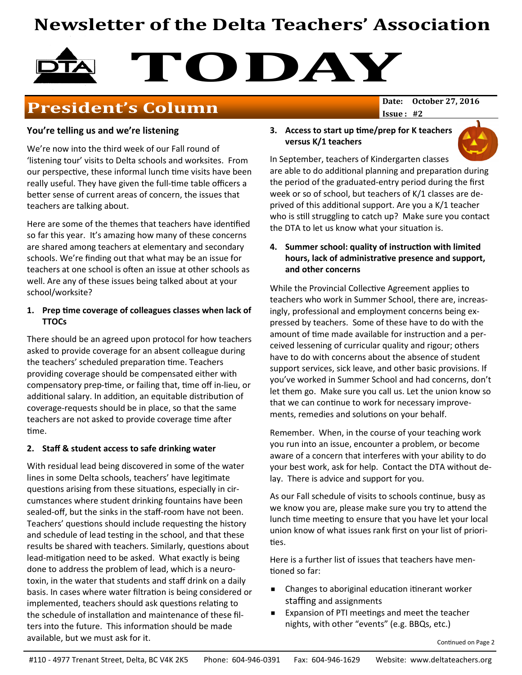# **Newsletter of the Delta Teachers' Association**

# TODAY

## **President's Column** Date: 0ctober 27, 2016

 $Issue: #2$ 

#### You're telling us and we're listening

We're now into the third week of our Fall round of 'listening tour' visits to Delta schools and worksites. From our perspective, these informal lunch time visits have been really useful. They have given the full-time table officers a better sense of current areas of concern, the issues that teachers are talking about.

Here are some of the themes that teachers have identified so far this year. It's amazing how many of these concerns are shared among teachers at elementary and secondary schools. We're finding out that what may be an issue for teachers at one school is often an issue at other schools as well. Are any of these issues being talked about at your school/worksite?

#### 1. Prep time coverage of colleagues classes when lack of **TTOCs**

There should be an agreed upon protocol for how teachers asked to provide coverage for an absent colleague during the teachers' scheduled preparation time. Teachers providing coverage should be compensated either with compensatory prep-time, or failing that, time off in-lieu, or additional salary. In addition, an equitable distribution of coverage-requests should be in place, so that the same teachers are not asked to provide coverage time after time.

#### 2. Staff & student access to safe drinking water

With residual lead being discovered in some of the water lines in some Delta schools, teachers' have legitimate questions arising from these situations, especially in circumstances where student drinking fountains have been sealed-off, but the sinks in the staff-room have not been. Teachers' questions should include requesting the history and schedule of lead testing in the school, and that these results be shared with teachers. Similarly, questions about lead-mitigation need to be asked. What exactly is being done to address the problem of lead, which is a neurotoxin, in the water that students and staff drink on a daily basis. In cases where water filtration is being considered or implemented, teachers should ask questions relating to the schedule of installation and maintenance of these filters into the future. This information should be made available, but we must ask for it.

#### 3. Access to start up time/prep for K teachers versus K/1 teachers



In September, teachers of Kindergarten classes are able to do additional planning and preparation during the period of the graduated-entry period during the first week or so of school, but teachers of K/1 classes are deprived of this additional support. Are you a K/1 teacher who is still struggling to catch up? Make sure you contact the DTA to let us know what your situation is.

#### 4. Summer school: quality of instruction with limited hours, lack of administrative presence and support, and other concerns

While the Provincial Collective Agreement applies to teachers who work in Summer School, there are, increasingly, professional and employment concerns being expressed by teachers. Some of these have to do with the amount of time made available for instruction and a perceived lessening of curricular quality and rigour; others have to do with concerns about the absence of student support services, sick leave, and other basic provisions. If you've worked in Summer School and had concerns, don't let them go. Make sure you call us. Let the union know so that we can continue to work for necessary improvements, remedies and solutions on your behalf.

Remember. When, in the course of your teaching work you run into an issue, encounter a problem, or become aware of a concern that interferes with your ability to do your best work, ask for help. Contact the DTA without delay. There is advice and support for you.

As our Fall schedule of visits to schools continue, busy as we know you are, please make sure you try to attend the lunch time meeting to ensure that you have let your local union know of what issues rank first on your list of priorities.

Here is a further list of issues that teachers have mentioned so far:

- Changes to aboriginal education itinerant worker staffing and assignments
- Expansion of PTI meetings and meet the teacher nights, with other "events" (e.g. BBQs, etc.)

Continued on Page 2